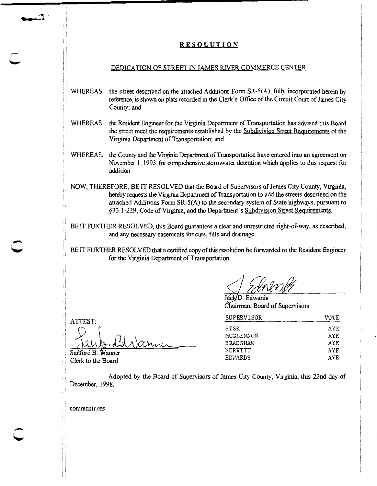## **RESOLUTION**

## DEDICATION OF STREET IN JAMES RIVER COMMERCE CENTER

- WHEREAS, the street described on the attached Additions Form SR-5(A), fully incorporated herein by reference, is shown on plats recorded in the Clerk's Office of the Circuit Court of James City County; and
- WHEREAS, the Resident Engineer for the Virginia Department of Transportation has advised *this* Board the street meet the requirements established by the Subdivision Street Requirements of the Virginia Department of Transportation; and
- WHEREAS, the County and the Virginia Department of Transportation have entered into an agreement on November 1, 1993, for comprehensive stormwater detention which applies to *this* request for addition.
- NOW, THEREFORE, BE IT RESOLVED that the Board of Supervisors of James City County, Virginia, hereby requests the Virginia Department of Transportation to add the streets described on the attached Additions Form SR-5(A) to the secondary system of State highways, pursuant to §33.1-229, Code of Virginia, and the Department's Subdivision Street Requirements.
- BE IT FURTHER RESOLVED, *this* Board guarantees a clear and unrestricted right-of-way, as described, and any necessary easements for cuts, fills and drainage.
- BE IT FURTHER RESOLVED that a certified copy of this resolution be forwarded to the Resident Engineer for the Virginia Department of Transportation.

áck/D. Edwards Chairman, Board of Supervisors

| SUPERVISOR      | VOTE       |
|-----------------|------------|
| SISK            | AYE        |
| MCGLENNON       | AYE        |
| <b>BRADSHAW</b> | <b>AYE</b> |
| NERVITT         | AYE        |
| <b>EDWARDS</b>  | AYE.       |

Sanford B. Wanner Clerk to the Board

<u>Ianni</u>

: ATTEST:

" ··""t . ..... ..

I i

'' ! ; i i 'i : i

> Adopted by the Board of Supervisors of James City County, Virginia, *this* 22nd day of December, 1998.

commcntr.res